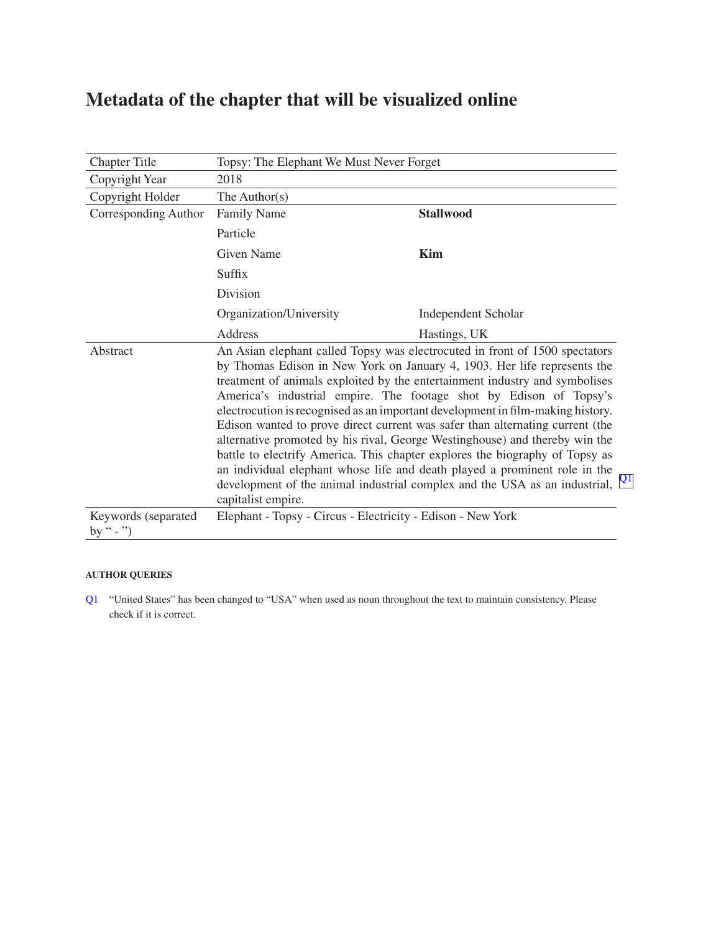## **Metadata of the chapter that will be visualized online**

| <b>Chapter Title</b>             | Topsy: The Elephant We Must Never Forget                                                                                                                                                                                                                                                                                                                                                                                                                                                                                                                                                                                                                                                                                                                                                                                                  |                     |
|----------------------------------|-------------------------------------------------------------------------------------------------------------------------------------------------------------------------------------------------------------------------------------------------------------------------------------------------------------------------------------------------------------------------------------------------------------------------------------------------------------------------------------------------------------------------------------------------------------------------------------------------------------------------------------------------------------------------------------------------------------------------------------------------------------------------------------------------------------------------------------------|---------------------|
| Copyright Year                   | 2018                                                                                                                                                                                                                                                                                                                                                                                                                                                                                                                                                                                                                                                                                                                                                                                                                                      |                     |
| Copyright Holder                 | The Author( $s$ )                                                                                                                                                                                                                                                                                                                                                                                                                                                                                                                                                                                                                                                                                                                                                                                                                         |                     |
| Corresponding Author             | <b>Family Name</b>                                                                                                                                                                                                                                                                                                                                                                                                                                                                                                                                                                                                                                                                                                                                                                                                                        | <b>Stallwood</b>    |
|                                  | Particle                                                                                                                                                                                                                                                                                                                                                                                                                                                                                                                                                                                                                                                                                                                                                                                                                                  |                     |
|                                  | Given Name                                                                                                                                                                                                                                                                                                                                                                                                                                                                                                                                                                                                                                                                                                                                                                                                                                | <b>Kim</b>          |
|                                  | Suffix                                                                                                                                                                                                                                                                                                                                                                                                                                                                                                                                                                                                                                                                                                                                                                                                                                    |                     |
|                                  | Division                                                                                                                                                                                                                                                                                                                                                                                                                                                                                                                                                                                                                                                                                                                                                                                                                                  |                     |
|                                  | Organization/University                                                                                                                                                                                                                                                                                                                                                                                                                                                                                                                                                                                                                                                                                                                                                                                                                   | Independent Scholar |
|                                  | Address                                                                                                                                                                                                                                                                                                                                                                                                                                                                                                                                                                                                                                                                                                                                                                                                                                   | Hastings, UK        |
| Abstract                         | An Asian elephant called Topsy was electrocuted in front of 1500 spectators<br>by Thomas Edison in New York on January 4, 1903. Her life represents the<br>treatment of animals exploited by the entertainment industry and symbolises<br>America's industrial empire. The footage shot by Edison of Topsy's<br>electrocution is recognised as an important development in film-making history.<br>Edison wanted to prove direct current was safer than alternating current (the<br>alternative promoted by his rival, George Westinghouse) and thereby win the<br>battle to electrify America. This chapter explores the biography of Topsy as<br>an individual elephant whose life and death played a prominent role in the<br>development of the animal industrial complex and the USA as an industrial, $[Q_1]$<br>capitalist empire. |                     |
| Keywords (separated<br>by " - ") | Elephant - Topsy - Circus - Electricity - Edison - New York                                                                                                                                                                                                                                                                                                                                                                                                                                                                                                                                                                                                                                                                                                                                                                               |                     |

## **AUTHOR QUERIES**

Q1 "United States" has been changed to "USA" when used as noun throughout the text to maintain consistency. Please check if it is correct.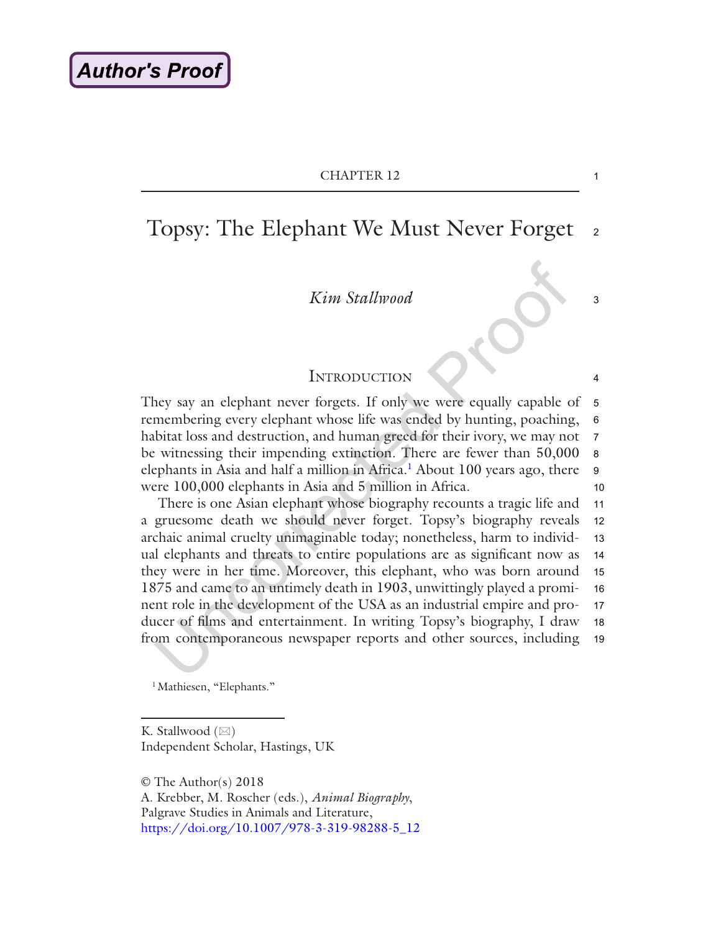## CHAPTER 12

#### Topsy: The Elephant We Must Never Forget 2

*Kim Stallwood*

## **INTRODUCTION**

They say an elephant never forgets. If only we were equally capable of 5 remembering every elephant whose life was ended by hunting, poaching, habitat loss and destruction, and human greed for their ivory, we may not be witnessing their impending extinction. There are fewer than 50,000 elephants in Asia and half a million in Africa.<sup>1</sup> About 100 years ago, there were 100,000 elephants in Asia and 5 million in Africa. 6 7 8 9 10

There is one Asian elephant whose biography recounts a tragic life and a gruesome death we should never forget. Topsy's biography reveals archaic animal cruelty unimaginable today; nonetheless, harm to individual elephants and threats to entire populations are as signifcant now as they were in her time. Moreover, this elephant, who was born around 1875 and came to an untimely death in 1903, unwittingly played a prominent role in the development of the USA as an industrial empire and producer of flms and entertainment. In writing Topsy's biography, I draw from contemporaneous newspaper reports and other sources, including 11 12 13 14 15 16 17 18 19

<sup>1</sup>Mathiesen, "Elephants."

K. Stallwood  $(\boxtimes)$ Independent Scholar, Hastings, UK

© The Author(s) 2018 A. Krebber, M. Roscher (eds.), *Animal Biography*, Palgrave Studies in Animals and Literature, https://doi.org/10.1007/978-3-319-98288-5\_12 1

3

4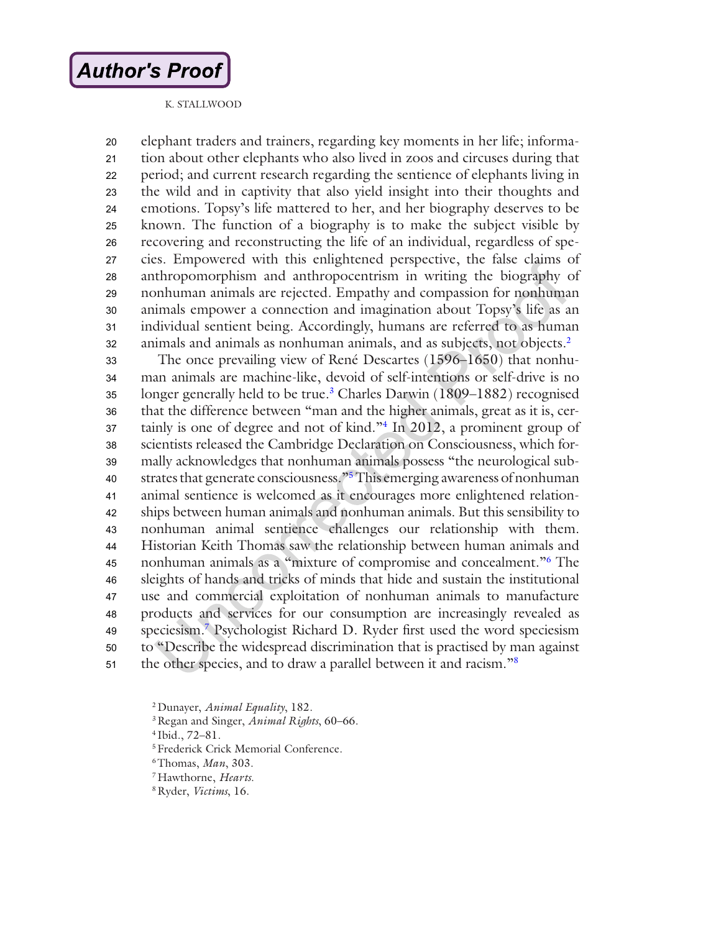**Author's Proof** 

elephant traders and trainers, regarding key moments in her life; information about other elephants who also lived in zoos and circuses during that period; and current research regarding the sentience of elephants living in the wild and in captivity that also yield insight into their thoughts and emotions. Topsy's life mattered to her, and her biography deserves to be known. The function of a biography is to make the subject visible by recovering and reconstructing the life of an individual, regardless of species. Empowered with this enlightened perspective, the false claims of anthropomorphism and anthropocentrism in writing the biography of nonhuman animals are rejected. Empathy and compassion for nonhuman animals empower a connection and imagination about Topsy's life as an individual sentient being. Accordingly, humans are referred to as human animals and animals as nonhuman animals, and as subjects, not objects.2 20 21 22 23 24 25 26 27 28 29 30 31 32

The once prevailing view of René Descartes (1596–1650) that nonhuman animals are machine-like, devoid of self-intentions or self-drive is no longer generally held to be true.<sup>3</sup> Charles Darwin (1809–1882) recognised that the difference between "man and the higher animals, great as it is, certainly is one of degree and not of kind."4 In 2012, a prominent group of scientists released the Cambridge Declaration on Consciousness, which formally acknowledges that nonhuman animals possess "the neurological substrates that generate consciousness.<sup>95</sup> This emerging awareness of nonhuman animal sentience is welcomed as it encourages more enlightened relationships between human animals and nonhuman animals. But this sensibility to nonhuman animal sentience challenges our relationship with them. Historian Keith Thomas saw the relationship between human animals and nonhuman animals as a "mixture of compromise and concealment."6 The sleights of hands and tricks of minds that hide and sustain the institutional use and commercial exploitation of nonhuman animals to manufacture products and services for our consumption are increasingly revealed as speciesism.<sup>7</sup> Psychologist Richard D. Ryder first used the word speciesism to "Describe the widespread discrimination that is practised by man against the other species, and to draw a parallel between it and racism."8 33 34 35 36 37 38 39 40 41 42 43 44 45 46 47 48 49 50 51

2Dunayer, *Animal Equality*, 182.

3Regan and Singer, *Animal Rights*, 60–66.

<sup>4</sup> Ibid., 72–81.

5Frederick Crick Memorial Conference.

6Thomas, *Man*, 303.

7Hawthorne, *Hearts*.

8Ryder, *Victims*, 16.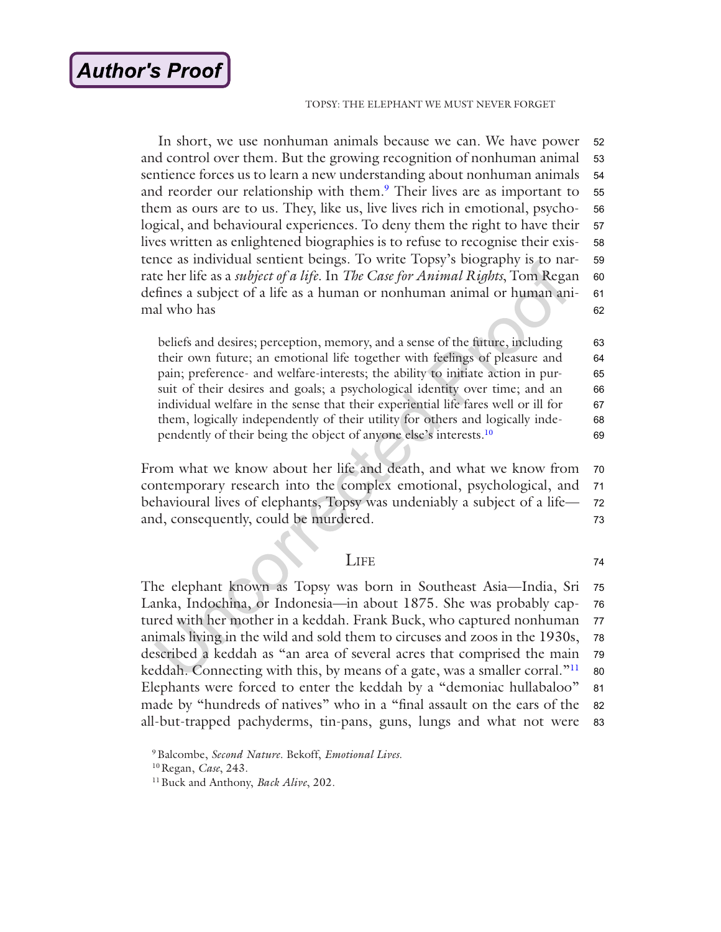In short, we use nonhuman animals because we can. We have power and control over them. But the growing recognition of nonhuman animal sentience forces us to learn a new understanding about nonhuman animals and reorder our relationship with them.<sup>9</sup> Their lives are as important to them as ours are to us. They, like us, live lives rich in emotional, psychological, and behavioural experiences. To deny them the right to have their lives written as enlightened biographies is to refuse to recognise their existence as individual sentient beings. To write Topsy's biography is to narrate her life as a *subject of a life*. In *The Case for Animal Rights*, Tom Regan defnes a subject of a life as a human or nonhuman animal or human animal who has 52 53 54 55 56 57 58 59 60 61 62

beliefs and desires; perception, memory, and a sense of the future, including their own future; an emotional life together with feelings of pleasure and pain; preference- and welfare-interests; the ability to initiate action in pursuit of their desires and goals; a psychological identity over time; and an individual welfare in the sense that their experiential life fares well or ill for them, logically independently of their utility for others and logically independently of their being the object of anyone else's interests.10

From what we know about her life and death, and what we know from contemporary research into the complex emotional, psychological, and behavioural lives of elephants, Topsy was undeniably a subject of a life and, consequently, could be murdered. 70 71 72 73

## LIFE

The elephant known as Topsy was born in Southeast Asia—India, Sri Lanka, Indochina, or Indonesia—in about 1875. She was probably captured with her mother in a keddah. Frank Buck, who captured nonhuman animals living in the wild and sold them to circuses and zoos in the 1930s, described a keddah as "an area of several acres that comprised the main keddah. Connecting with this, by means of a gate, was a smaller corral."11 Elephants were forced to enter the keddah by a "demoniac hullabaloo" made by "hundreds of natives" who in a "fnal assault on the ears of the all-but-trapped pachyderms, tin-pans, guns, lungs and what not were 75 76 77 78 79 80 81 82 83

**Author's Proof** 

67 68 69

74

<sup>9</sup>Balcombe, *Second Nature*. Bekoff, *Emotional Lives*.

<sup>10</sup>Regan, *Case*, 243.

<sup>11</sup>Buck and Anthony, *Back Alive*, 202.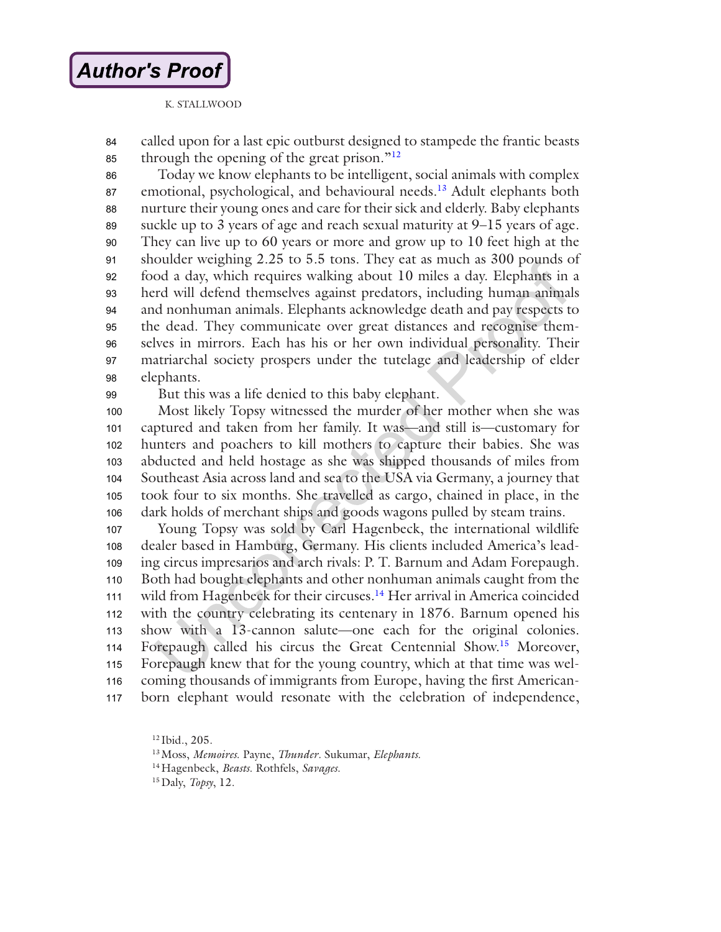**Author's Proof** 

called upon for a last epic outburst designed to stampede the frantic beasts through the opening of the great prison." $12$ 84 85

Today we know elephants to be intelligent, social animals with complex emotional, psychological, and behavioural needs.<sup>13</sup> Adult elephants both nurture their young ones and care for their sick and elderly. Baby elephants suckle up to 3 years of age and reach sexual maturity at 9–15 years of age. They can live up to 60 years or more and grow up to 10 feet high at the shoulder weighing 2.25 to 5.5 tons. They eat as much as 300 pounds of food a day, which requires walking about 10 miles a day. Elephants in a herd will defend themselves against predators, including human animals and nonhuman animals. Elephants acknowledge death and pay respects to the dead. They communicate over great distances and recognise themselves in mirrors. Each has his or her own individual personality. Their matriarchal society prospers under the tutelage and leadership of elder elephants. 86 87 88 89 90 91 92 93 94 95 96 97 98

99

But this was a life denied to this baby elephant.

Most likely Topsy witnessed the murder of her mother when she was captured and taken from her family. It was—and still is—customary for hunters and poachers to kill mothers to capture their babies. She was abducted and held hostage as she was shipped thousands of miles from Southeast Asia across land and sea to the USA via Germany, a journey that took four to six months. She travelled as cargo, chained in place, in the dark holds of merchant ships and goods wagons pulled by steam trains. 100 101 102 103 104 105 106

Young Topsy was sold by Carl Hagenbeck, the international wildlife dealer based in Hamburg, Germany. His clients included America's leading circus impresarios and arch rivals: P. T. Barnum and Adam Forepaugh. Both had bought elephants and other nonhuman animals caught from the wild from Hagenbeck for their circuses.<sup>14</sup> Her arrival in America coincided with the country celebrating its centenary in 1876. Barnum opened his show with a 13-cannon salute—one each for the original colonies. Forepaugh called his circus the Great Centennial Show.<sup>15</sup> Moreover, Forepaugh knew that for the young country, which at that time was welcoming thousands of immigrants from Europe, having the frst Americanborn elephant would resonate with the celebration of independence, 107 108 109 110 111 112 113 114 115 116 117

<sup>12</sup> Ibid., 205.

13Moss, *Memoires*. Payne, *Thunder*. Sukumar, *Elephants*.

15Daly, *Topsy*, 12.

<sup>14</sup>Hagenbeck, *Beasts*. Rothfels, *Savages*.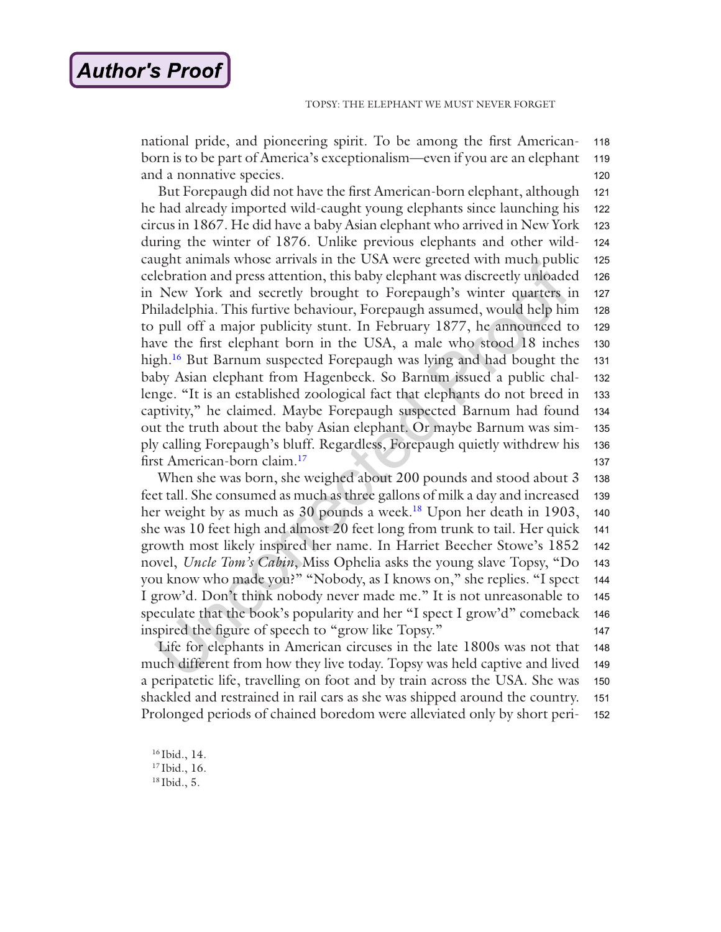national pride, and pioneering spirit. To be among the frst Americanborn is to be part of America's exceptionalism—even if you are an elephant and a nonnative species. 118 119 120

But Forepaugh did not have the frst American-born elephant, although he had already imported wild-caught young elephants since launching his circus in 1867. He did have a baby Asian elephant who arrived in New York during the winter of 1876. Unlike previous elephants and other wildcaught animals whose arrivals in the USA were greeted with much public celebration and press attention, this baby elephant was discreetly unloaded in New York and secretly brought to Forepaugh's winter quarters in Philadelphia. This furtive behaviour, Forepaugh assumed, would help him to pull off a major publicity stunt. In February 1877, he announced to have the frst elephant born in the USA, a male who stood 18 inches high.<sup>16</sup> But Barnum suspected Forepaugh was lying and had bought the baby Asian elephant from Hagenbeck. So Barnum issued a public challenge. "It is an established zoological fact that elephants do not breed in captivity," he claimed. Maybe Forepaugh suspected Barnum had found out the truth about the baby Asian elephant. Or maybe Barnum was simply calling Forepaugh's bluff. Regardless, Forepaugh quietly withdrew his frst American-born claim.17 121 122 123 124 125 126 127 128 129 130 131 132 133 134 135 136 137

When she was born, she weighed about 200 pounds and stood about 3 feet tall. She consumed as much as three gallons of milk a day and increased her weight by as much as 30 pounds a week.<sup>18</sup> Upon her death in 1903, she was 10 feet high and almost 20 feet long from trunk to tail. Her quick growth most likely inspired her name. In Harriet Beecher Stowe's 1852 novel, *Uncle Tom's Cabin*, Miss Ophelia asks the young slave Topsy, "Do you know who made you?" "Nobody, as I knows on," she replies. "I spect I grow'd. Don't think nobody never made me." It is not unreasonable to speculate that the book's popularity and her "I spect I grow'd" comeback inspired the fgure of speech to "grow like Topsy." 138 139 140 141 142 143 144 145 146 147

Life for elephants in American circuses in the late 1800s was not that much different from how they live today. Topsy was held captive and lived a peripatetic life, travelling on foot and by train across the USA. She was shackled and restrained in rail cars as she was shipped around the country. Prolonged periods of chained boredom were alleviated only by short peri-148 149 150 151 152

<sup>16</sup> Ibid., 14. <sup>17</sup> Ibid., 16.  $18$  Ibid., 5.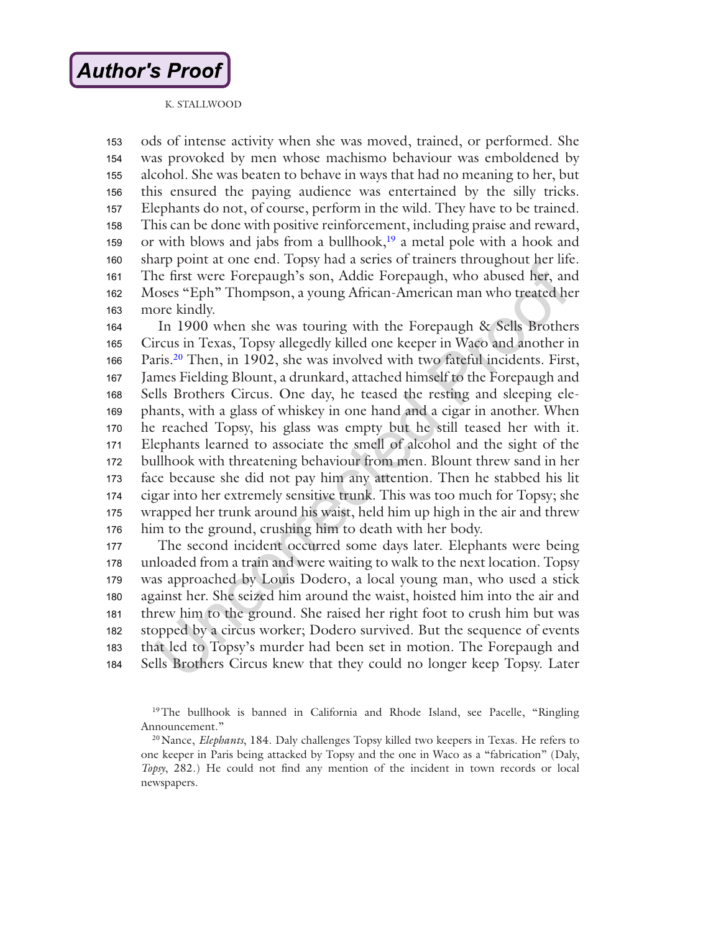**Author's Proof** 

ods of intense activity when she was moved, trained, or performed. She was provoked by men whose machismo behaviour was emboldened by alcohol. She was beaten to behave in ways that had no meaning to her, but this ensured the paying audience was entertained by the silly tricks. Elephants do not, of course, perform in the wild. They have to be trained. This can be done with positive reinforcement, including praise and reward, or with blows and jabs from a bullhook, $19$  a metal pole with a hook and sharp point at one end. Topsy had a series of trainers throughout her life. The frst were Forepaugh's son, Addie Forepaugh, who abused her, and Moses "Eph" Thompson, a young African-American man who treated her more kindly. 153 154 155 156 157 158 159 160 161 162 163

In 1900 when she was touring with the Forepaugh & Sells Brothers Circus in Texas, Topsy allegedly killed one keeper in Waco and another in Paris.<sup>20</sup> Then, in 1902, she was involved with two fateful incidents. First, James Fielding Blount, a drunkard, attached himself to the Forepaugh and Sells Brothers Circus. One day, he teased the resting and sleeping elephants, with a glass of whiskey in one hand and a cigar in another. When he reached Topsy, his glass was empty but he still teased her with it. Elephants learned to associate the smell of alcohol and the sight of the bullhook with threatening behaviour from men. Blount threw sand in her face because she did not pay him any attention. Then he stabbed his lit cigar into her extremely sensitive trunk. This was too much for Topsy; she wrapped her trunk around his waist, held him up high in the air and threw him to the ground, crushing him to death with her body. 164 165 166 167 168 169 170 171 172 173 174 175 176

The second incident occurred some days later. Elephants were being unloaded from a train and were waiting to walk to the next location. Topsy was approached by Louis Dodero, a local young man, who used a stick against her. She seized him around the waist, hoisted him into the air and threw him to the ground. She raised her right foot to crush him but was stopped by a circus worker; Dodero survived. But the sequence of events that led to Topsy's murder had been set in motion. The Forepaugh and Sells Brothers Circus knew that they could no longer keep Topsy. Later 177 178 179 180 181 182 183 184

<sup>&</sup>lt;sup>19</sup>The bullhook is banned in California and Rhode Island, see Pacelle, "Ringling Announcement."

<sup>20</sup>Nance, *Elephants*, 184. Daly challenges Topsy killed two keepers in Texas. He refers to one keeper in Paris being attacked by Topsy and the one in Waco as a "fabrication" (Daly, *Topsy*, 282.) He could not fnd any mention of the incident in town records or local newspapers.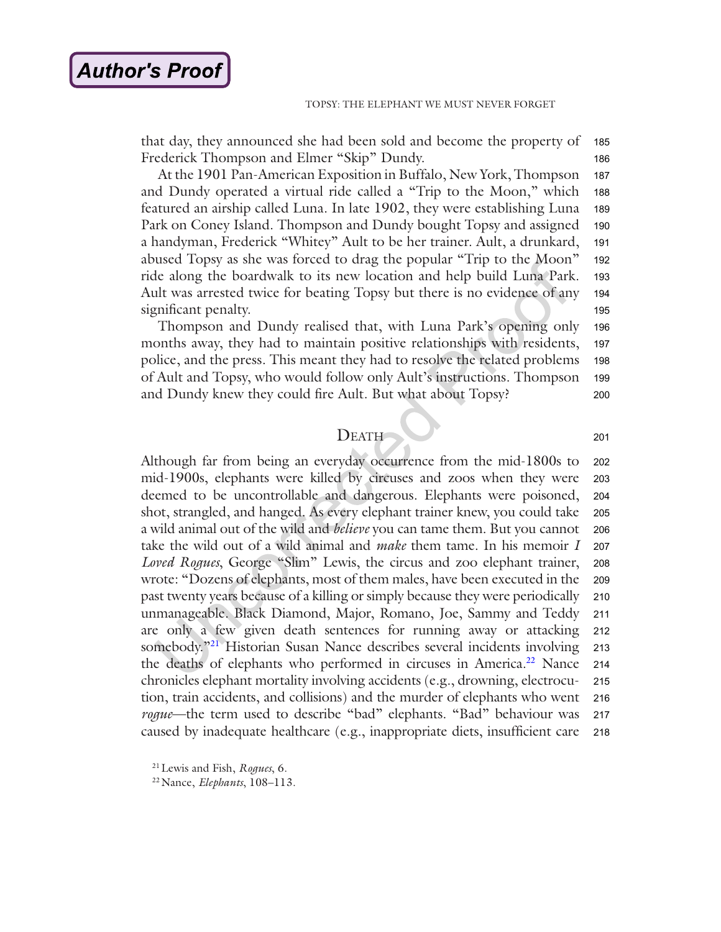that day, they announced she had been sold and become the property of Frederick Thompson and Elmer "Skip" Dundy. 185 186

At the 1901 Pan-American Exposition in Buffalo, New York, Thompson and Dundy operated a virtual ride called a "Trip to the Moon," which featured an airship called Luna. In late 1902, they were establishing Luna Park on Coney Island. Thompson and Dundy bought Topsy and assigned a handyman, Frederick "Whitey" Ault to be her trainer. Ault, a drunkard, abused Topsy as she was forced to drag the popular "Trip to the Moon" ride along the boardwalk to its new location and help build Luna Park. Ault was arrested twice for beating Topsy but there is no evidence of any signifcant penalty. 187 188 189 190 191 192 193 194 195

Thompson and Dundy realised that, with Luna Park's opening only months away, they had to maintain positive relationships with residents, police, and the press. This meant they had to resolve the related problems of Ault and Topsy, who would follow only Ault's instructions. Thompson and Dundy knew they could fre Ault. But what about Topsy? 196 197 198 199 200

## **DEATH**

Although far from being an everyday occurrence from the mid-1800s to mid-1900s, elephants were killed by circuses and zoos when they were deemed to be uncontrollable and dangerous. Elephants were poisoned, shot, strangled, and hanged. As every elephant trainer knew, you could take a wild animal out of the wild and *believe* you can tame them. But you cannot take the wild out of a wild animal and *make* them tame. In his memoir *I Loved Rogues*, George "Slim" Lewis, the circus and zoo elephant trainer, wrote: "Dozens of elephants, most of them males, have been executed in the past twenty years because of a killing or simply because they were periodically unmanageable. Black Diamond, Major, Romano, Joe, Sammy and Teddy are only a few given death sentences for running away or attacking somebody."<sup>21</sup> Historian Susan Nance describes several incidents involving the deaths of elephants who performed in circuses in America.<sup>22</sup> Nance chronicles elephant mortality involving accidents (e.g., drowning, electrocution, train accidents, and collisions) and the murder of elephants who went *rogue*—the term used to describe "bad" elephants. "Bad" behaviour was caused by inadequate healthcare (e.g., inappropriate diets, insuffcient care 202 203 204 205 206 207 208 209 210 211 212 213 214 215 216 217 218

**Author's Proof** 

201

<sup>21</sup>Lewis and Fish, *Rogues*, 6.

<sup>22</sup>Nance, *Elephants*, 108–113.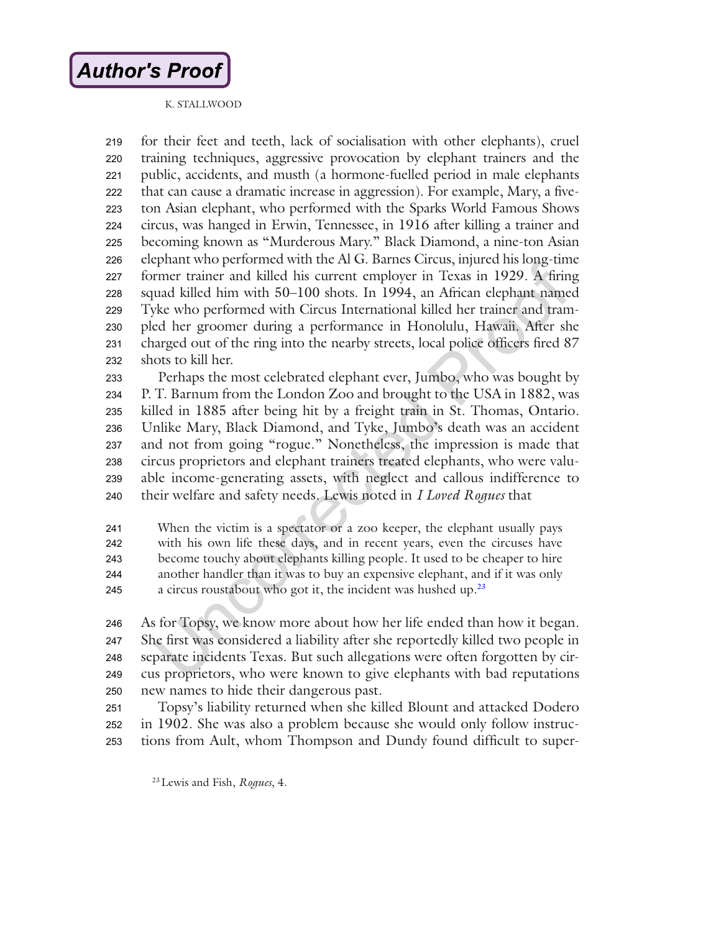**Author's Proof** 

for their feet and teeth, lack of socialisation with other elephants), cruel training techniques, aggressive provocation by elephant trainers and the public, accidents, and musth (a hormone-fuelled period in male elephants that can cause a dramatic increase in aggression). For example, Mary, a fveton Asian elephant, who performed with the Sparks World Famous Shows circus, was hanged in Erwin, Tennessee, in 1916 after killing a trainer and becoming known as "Murderous Mary." Black Diamond, a nine-ton Asian elephant who performed with the Al G. Barnes Circus, injured his long-time former trainer and killed his current employer in Texas in 1929. A fring squad killed him with 50–100 shots. In 1994, an African elephant named Tyke who performed with Circus International killed her trainer and trampled her groomer during a performance in Honolulu, Hawaii. After she charged out of the ring into the nearby streets, local police officers fired 87 shots to kill her. 219 220 221 222 223 224 225 226 227 228 229 230 231 232

Perhaps the most celebrated elephant ever, Jumbo, who was bought by P. T. Barnum from the London Zoo and brought to the USA in 1882, was killed in 1885 after being hit by a freight train in St. Thomas, Ontario. Unlike Mary, Black Diamond, and Tyke, Jumbo's death was an accident and not from going "rogue." Nonetheless, the impression is made that circus proprietors and elephant trainers treated elephants, who were valuable income-generating assets, with neglect and callous indifference to their welfare and safety needs. Lewis noted in *I Loved Rogues* that 233 234 235 236 237 238 239 240

When the victim is a spectator or a zoo keeper, the elephant usually pays with his own life these days, and in recent years, even the circuses have become touchy about elephants killing people. It used to be cheaper to hire another handler than it was to buy an expensive elephant, and if it was only a circus roustabout who got it, the incident was hushed up. $^{23}$ 241 242 243 244 245

As for Topsy, we know more about how her life ended than how it began. She frst was considered a liability after she reportedly killed two people in separate incidents Texas. But such allegations were often forgotten by circus proprietors, who were known to give elephants with bad reputations new names to hide their dangerous past. 246 247 248 249 250

Topsy's liability returned when she killed Blount and attacked Dodero in 1902. She was also a problem because she would only follow instructions from Ault, whom Thompson and Dundy found diffcult to super-251 252 253

23Lewis and Fish, *Rogues*, 4.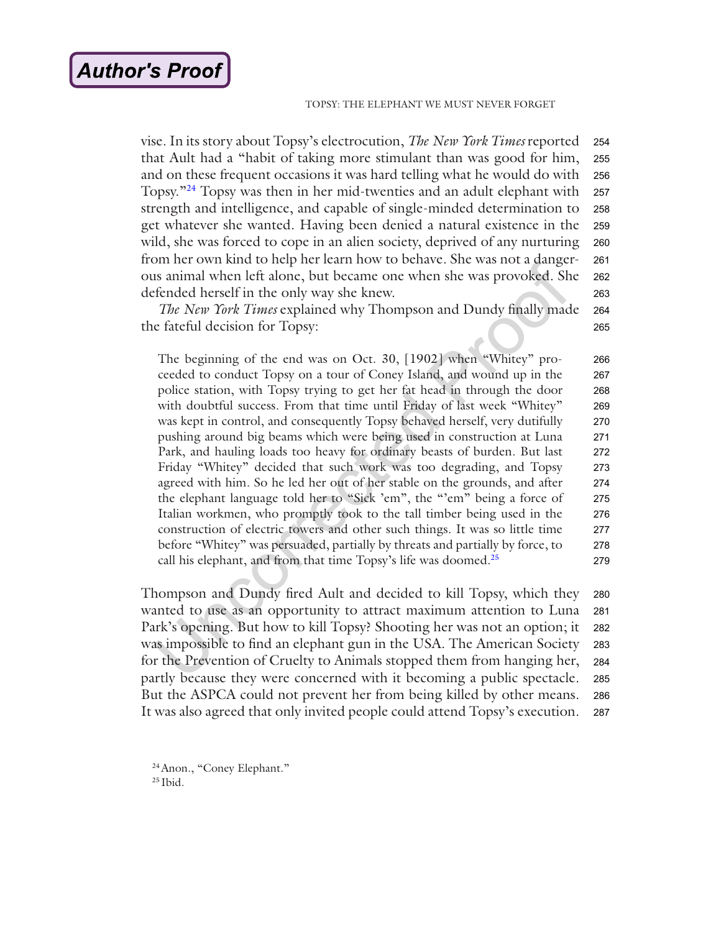vise. In its story about Topsy's electrocution, *The New York Times* reported that Ault had a "habit of taking more stimulant than was good for him, and on these frequent occasions it was hard telling what he would do with Topsy."24 Topsy was then in her mid-twenties and an adult elephant with strength and intelligence, and capable of single-minded determination to get whatever she wanted. Having been denied a natural existence in the wild, she was forced to cope in an alien society, deprived of any nurturing from her own kind to help her learn how to behave. She was not a dangerous animal when left alone, but became one when she was provoked. She defended herself in the only way she knew. 254 255 256 257 258 259 260 261 262 263

*The New York Times* explained why Thompson and Dundy fnally made the fateful decision for Topsy: 264 265

The beginning of the end was on Oct. 30, [1902] when "Whitey" proceeded to conduct Topsy on a tour of Coney Island, and wound up in the police station, with Topsy trying to get her fat head in through the door with doubtful success. From that time until Friday of last week "Whitey" was kept in control, and consequently Topsy behaved herself, very dutifully pushing around big beams which were being used in construction at Luna Park, and hauling loads too heavy for ordinary beasts of burden. But last Friday "Whitey" decided that such work was too degrading, and Topsy agreed with him. So he led her out of her stable on the grounds, and after the elephant language told her to "Sick 'em", the "'em" being a force of Italian workmen, who promptly took to the tall timber being used in the construction of electric towers and other such things. It was so little time before "Whitey" was persuaded, partially by threats and partially by force, to call his elephant, and from that time Topsy's life was doomed.25 266 267 268 269 270 271 272 273 274 275 276 277 278 279

Thompson and Dundy fred Ault and decided to kill Topsy, which they wanted to use as an opportunity to attract maximum attention to Luna Park's opening. But how to kill Topsy? Shooting her was not an option; it was impossible to fnd an elephant gun in the USA. The American Society for the Prevention of Cruelty to Animals stopped them from hanging her, partly because they were concerned with it becoming a public spectacle. But the ASPCA could not prevent her from being killed by other means. It was also agreed that only invited people could attend Topsy's execution. 280 281 282 283 284 285 286 287

<sup>24</sup>Anon., "Coney Elephant."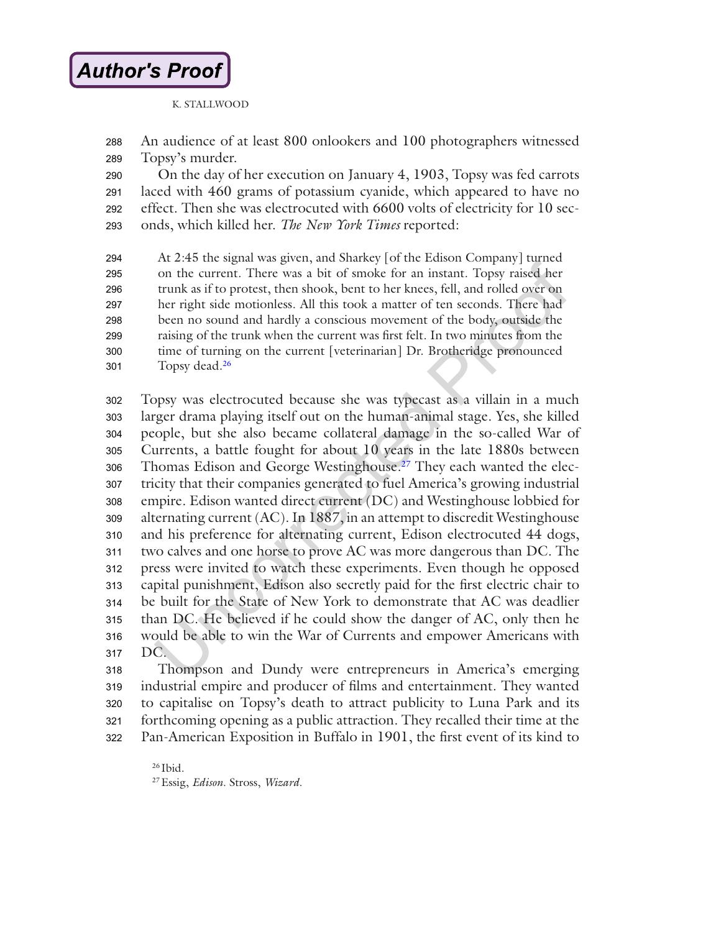**Author's Proof** 

An audience of at least 800 onlookers and 100 photographers witnessed Topsy's murder. 288 289

On the day of her execution on January 4, 1903, Topsy was fed carrots laced with 460 grams of potassium cyanide, which appeared to have no effect. Then she was electrocuted with 6600 volts of electricity for 10 seconds, which killed her. *The New York Times* reported: 290 291 292 293

At 2:45 the signal was given, and Sharkey [of the Edison Company] turned on the current. There was a bit of smoke for an instant. Topsy raised her trunk as if to protest, then shook, bent to her knees, fell, and rolled over on her right side motionless. All this took a matter of ten seconds. There had been no sound and hardly a conscious movement of the body, outside the raising of the trunk when the current was frst felt. In two minutes from the time of turning on the current [veterinarian] Dr. Brotheridge pronounced Topsy dead.<sup>26</sup> 294 295 296 297 298 299 300 301

Topsy was electrocuted because she was typecast as a villain in a much larger drama playing itself out on the human-animal stage. Yes, she killed people, but she also became collateral damage in the so-called War of Currents, a battle fought for about 10 years in the late 1880s between Thomas Edison and George Westinghouse.<sup>27</sup> They each wanted the electricity that their companies generated to fuel America's growing industrial empire. Edison wanted direct current (DC) and Westinghouse lobbied for alternating current (AC). In 1887, in an attempt to discredit Westinghouse and his preference for alternating current, Edison electrocuted 44 dogs, two calves and one horse to prove AC was more dangerous than DC. The press were invited to watch these experiments. Even though he opposed capital punishment, Edison also secretly paid for the frst electric chair to be built for the State of New York to demonstrate that AC was deadlier than DC. He believed if he could show the danger of AC, only then he would be able to win the War of Currents and empower Americans with DC. 302 303 304 305 306 307 308 309 310 311 312 313 314 315 316 317

Thompson and Dundy were entrepreneurs in America's emerging industrial empire and producer of flms and entertainment. They wanted to capitalise on Topsy's death to attract publicity to Luna Park and its forthcoming opening as a public attraction. They recalled their time at the Pan-American Exposition in Buffalo in 1901, the frst event of its kind to 318 319 320 321 322

 $26$  Ibid. 27Essig, *Edison*. Stross, *Wizard*.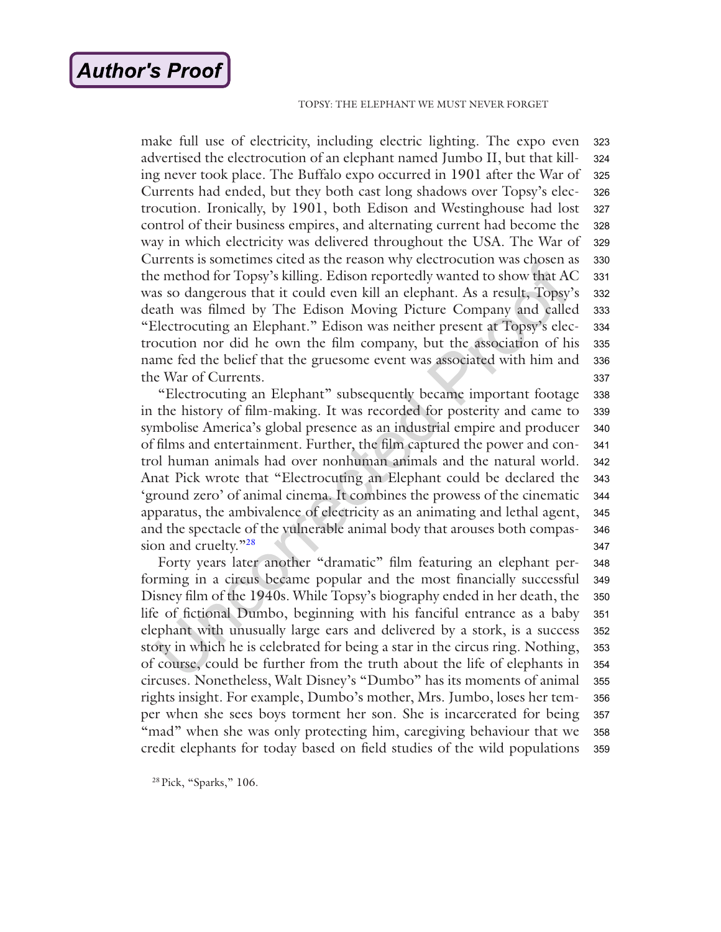make full use of electricity, including electric lighting. The expo even advertised the electrocution of an elephant named Jumbo II, but that killing never took place. The Buffalo expo occurred in 1901 after the War of Currents had ended, but they both cast long shadows over Topsy's electrocution. Ironically, by 1901, both Edison and Westinghouse had lost control of their business empires, and alternating current had become the way in which electricity was delivered throughout the USA. The War of Currents is sometimes cited as the reason why electrocution was chosen as the method for Topsy's killing. Edison reportedly wanted to show that AC was so dangerous that it could even kill an elephant. As a result, Topsy's death was flmed by The Edison Moving Picture Company and called "Electrocuting an Elephant." Edison was neither present at Topsy's electrocution nor did he own the flm company, but the association of his name fed the belief that the gruesome event was associated with him and the War of Currents. 323 324 325 326 327 328 329 330 331 332 333 334 335 336 337

"Electrocuting an Elephant" subsequently became important footage in the history of flm-making. It was recorded for posterity and came to symbolise America's global presence as an industrial empire and producer of flms and entertainment. Further, the flm captured the power and control human animals had over nonhuman animals and the natural world. Anat Pick wrote that "Electrocuting an Elephant could be declared the 'ground zero' of animal cinema. It combines the prowess of the cinematic apparatus, the ambivalence of electricity as an animating and lethal agent, and the spectacle of the vulnerable animal body that arouses both compassion and cruelty."<sup>28</sup> 338 339 340 341 342 343 344 345 346 347

Forty years later another "dramatic" flm featuring an elephant performing in a circus became popular and the most fnancially successful Disney flm of the 1940s. While Topsy's biography ended in her death, the life of fctional Dumbo, beginning with his fanciful entrance as a baby elephant with unusually large ears and delivered by a stork, is a success story in which he is celebrated for being a star in the circus ring. Nothing, of course, could be further from the truth about the life of elephants in circuses. Nonetheless, Walt Disney's "Dumbo" has its moments of animal rights insight. For example, Dumbo's mother, Mrs. Jumbo, loses her temper when she sees boys torment her son. She is incarcerated for being "mad" when she was only protecting him, caregiving behaviour that we credit elephants for today based on feld studies of the wild populations 348 349 350 351 352 353 354 355 356 357 358 359

<sup>28</sup> Pick, "Sparks," 106.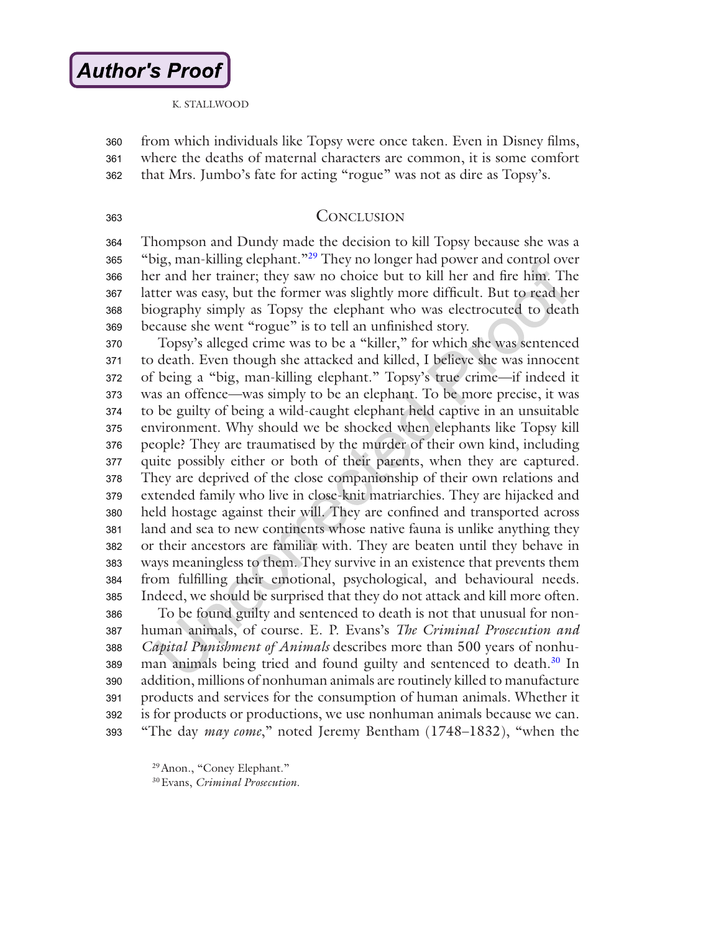**Author's Proof** 

from which individuals like Topsy were once taken. Even in Disney flms, where the deaths of maternal characters are common, it is some comfort that Mrs. Jumbo's fate for acting "rogue" was not as dire as Topsy's. 360 361 362

363

## **CONCLUSION**

Thompson and Dundy made the decision to kill Topsy because she was a "big, man-killing elephant."29 They no longer had power and control over her and her trainer; they saw no choice but to kill her and fre him. The latter was easy, but the former was slightly more diffcult. But to read her biography simply as Topsy the elephant who was electrocuted to death because she went "rogue" is to tell an unfnished story. 364 365 366 367 368 369

Topsy's alleged crime was to be a "killer," for which she was sentenced to death. Even though she attacked and killed, I believe she was innocent of being a "big, man-killing elephant." Topsy's true crime—if indeed it was an offence—was simply to be an elephant. To be more precise, it was to be guilty of being a wild-caught elephant held captive in an unsuitable environment. Why should we be shocked when elephants like Topsy kill people? They are traumatised by the murder of their own kind, including quite possibly either or both of their parents, when they are captured. They are deprived of the close companionship of their own relations and extended family who live in close-knit matriarchies. They are hijacked and held hostage against their will. They are confned and transported across land and sea to new continents whose native fauna is unlike anything they or their ancestors are familiar with. They are beaten until they behave in ways meaningless to them. They survive in an existence that prevents them from fulflling their emotional, psychological, and behavioural needs. Indeed, we should be surprised that they do not attack and kill more often. To be found guilty and sentenced to death is not that unusual for non-370 371 372 373 374 375 376 377 378 379 380 381 382 383 384 385 386

human animals, of course. E. P. Evans's *The Criminal Prosecution and Capital Punishment of Animals* describes more than 500 years of nonhuman animals being tried and found guilty and sentenced to death.<sup>30</sup> In addition, millions of nonhuman animals are routinely killed to manufacture products and services for the consumption of human animals. Whether it is for products or productions, we use nonhuman animals because we can. "The day *may come*," noted Jeremy Bentham (1748–1832), "when the 387 388 389 390 391 392 393

29Anon., "Coney Elephant."

30Evans, *Criminal Prosecution*.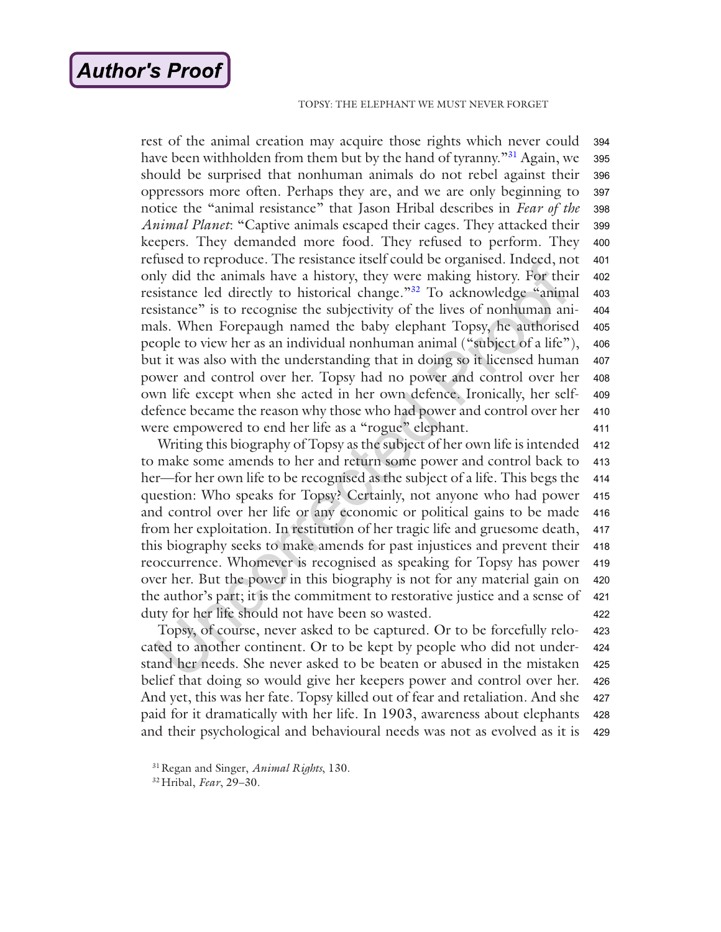rest of the animal creation may acquire those rights which never could have been withholden from them but by the hand of tyranny."<sup>31</sup> Again, we should be surprised that nonhuman animals do not rebel against their oppressors more often. Perhaps they are, and we are only beginning to notice the "animal resistance" that Jason Hribal describes in *Fear of the Animal Planet*: "Captive animals escaped their cages. They attacked their keepers. They demanded more food. They refused to perform. They refused to reproduce. The resistance itself could be organised. Indeed, not only did the animals have a history, they were making history. For their resistance led directly to historical change."32 To acknowledge "animal resistance" is to recognise the subjectivity of the lives of nonhuman animals. When Forepaugh named the baby elephant Topsy, he authorised people to view her as an individual nonhuman animal ("subject of a life"), but it was also with the understanding that in doing so it licensed human power and control over her. Topsy had no power and control over her own life except when she acted in her own defence. Ironically, her selfdefence became the reason why those who had power and control over her were empowered to end her life as a "rogue" elephant. 394 395 396 397 398 399 400 401 402 403 404 405 406 407 408 409 410 411

Writing this biography of Topsy as the subject of her own life is intended to make some amends to her and return some power and control back to her—for her own life to be recognised as the subject of a life. This begs the question: Who speaks for Topsy? Certainly, not anyone who had power and control over her life or any economic or political gains to be made from her exploitation. In restitution of her tragic life and gruesome death, this biography seeks to make amends for past injustices and prevent their reoccurrence. Whomever is recognised as speaking for Topsy has power over her. But the power in this biography is not for any material gain on the author's part; it is the commitment to restorative justice and a sense of duty for her life should not have been so wasted. 412 413 414 415 416 417 418 419 420 421 422

Topsy, of course, never asked to be captured. Or to be forcefully relocated to another continent. Or to be kept by people who did not understand her needs. She never asked to be beaten or abused in the mistaken belief that doing so would give her keepers power and control over her. And yet, this was her fate. Topsy killed out of fear and retaliation. And she paid for it dramatically with her life. In 1903, awareness about elephants and their psychological and behavioural needs was not as evolved as it is 423 424 425 426 427 428 429

<sup>31</sup>Regan and Singer, *Animal Rights*, 130.

<sup>32</sup>Hribal, *Fear*, 29–30.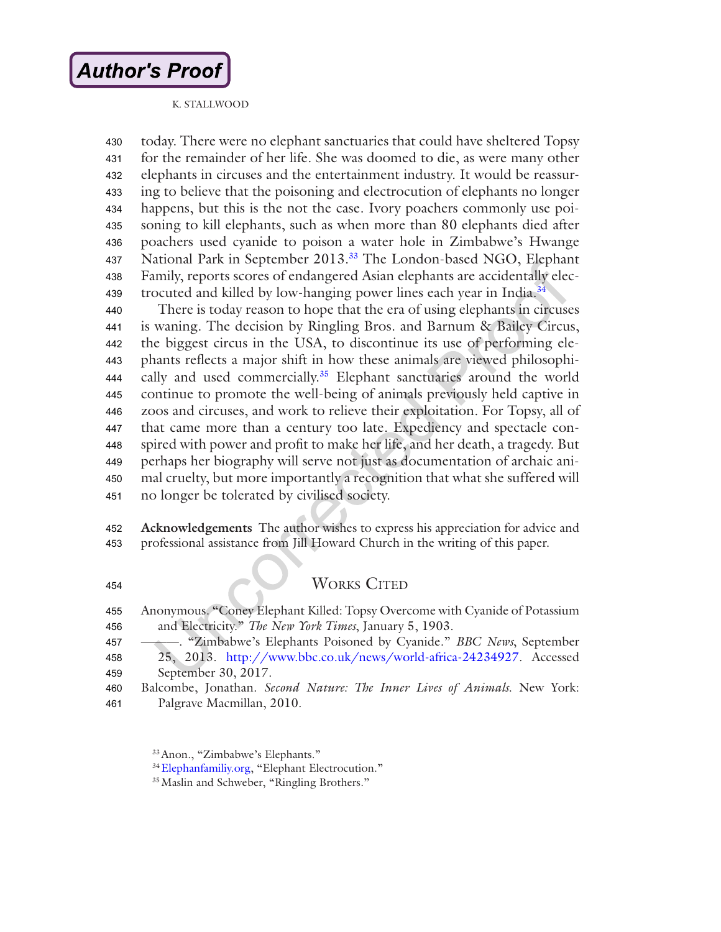**Author's Proof** 

today. There were no elephant sanctuaries that could have sheltered Topsy for the remainder of her life. She was doomed to die, as were many other elephants in circuses and the entertainment industry. It would be reassuring to believe that the poisoning and electrocution of elephants no longer happens, but this is the not the case. Ivory poachers commonly use poisoning to kill elephants, such as when more than 80 elephants died after poachers used cyanide to poison a water hole in Zimbabwe's Hwange National Park in September 2013.<sup>33</sup> The London-based NGO, Elephant Family, reports scores of endangered Asian elephants are accidentally electrocuted and killed by low-hanging power lines each year in India. $34 \times$ 430 431 432 433 434 435 436 437 438 439

There is today reason to hope that the era of using elephants in circuses is waning. The decision by Ringling Bros. and Barnum & Bailey Circus, the biggest circus in the USA, to discontinue its use of performing elephants refects a major shift in how these animals are viewed philosophically and used commercially.<sup>35</sup> Elephant sanctuaries around the world continue to promote the well-being of animals previously held captive in zoos and circuses, and work to relieve their exploitation. For Topsy, all of that came more than a century too late. Expediency and spectacle conspired with power and proft to make her life, and her death, a tragedy. But perhaps her biography will serve not just as documentation of archaic animal cruelty, but more importantly a recognition that what she suffered will no longer be tolerated by civilised society. 440 441 442 443 444 445 446 447 448 449 450 451

**Acknowledgements** The author wishes to express his appreciation for advice and professional assistance from Jill Howard Church in the writing of this paper. 452 453

454

## WORKS CITED

- Anonymous. "Coney Elephant Killed: Topsy Overcome with Cyanide of Potassium and Electricity." *The New York Times*, January 5, 1903. 455 456
- ———. "Zimbabwe's Elephants Poisoned by Cyanide." *BBC News*, September 457
- 25, 2013. http://www.bbc.co.uk/news/world-africa-24234927. Accessed September 30, 2017. 458 459
- Balcombe, Jonathan. *Second Nature: The Inner Lives of Animals*. New York: Palgrave Macmillan, 2010. 460 461
	- 33Anon., "Zimbabwe's Elephants."
	- 34Elephanfamiliy.org, "Elephant Electrocution."
	- 35Maslin and Schweber, "Ringling Brothers."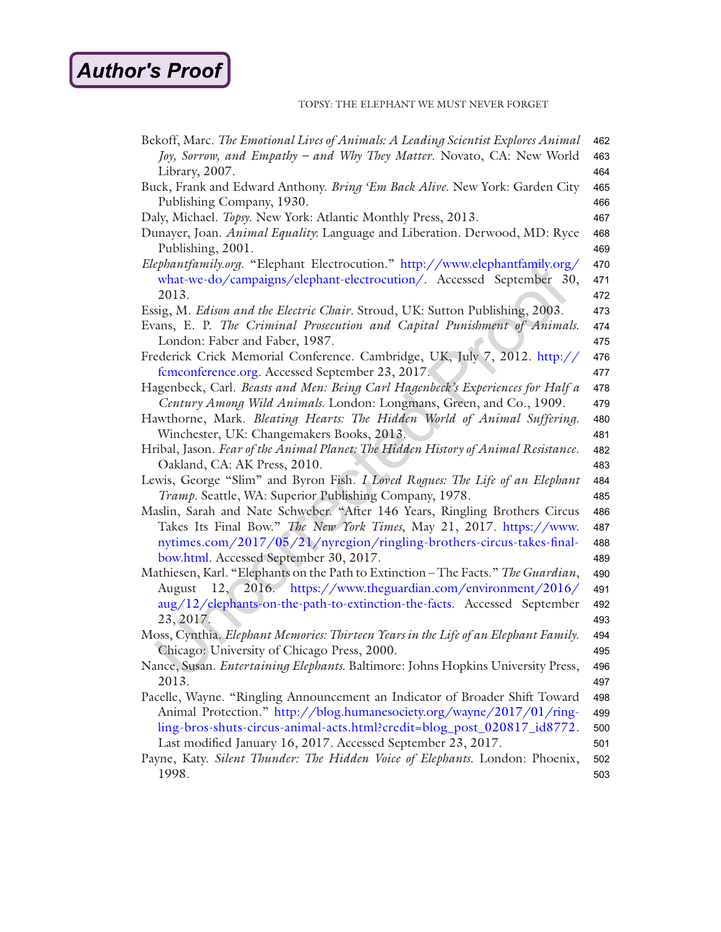# **Author's Proof**

## TOPSY: THE ELEPHANT WE MUST NEVER FORGET

| Bekoff, Marc. The Emotional Lives of Animals: A Leading Scientist Explores Animal   | 462 |
|-------------------------------------------------------------------------------------|-----|
| Joy, Sorrow, and Empathy - and Why They Matter. Novato, CA: New World               | 463 |
| Library, 2007.                                                                      | 464 |
| Buck, Frank and Edward Anthony. Bring 'Em Back Alive. New York: Garden City         | 465 |
| Publishing Company, 1930.                                                           | 466 |
| Daly, Michael. Topsy. New York: Atlantic Monthly Press, 2013.                       | 467 |
| Dunayer, Joan. Animal Equality: Language and Liberation. Derwood, MD: Ryce          | 468 |
| Publishing, 2001.                                                                   | 469 |
| Elephantfamily.org. "Elephant Electrocution." http://www.elephantfamily.org/        | 470 |
| what-we-do/campaigns/elephant-electrocution/. Accessed September 30,                | 471 |
| 2013.                                                                               | 472 |
| Essig, M. Edison and the Electric Chair. Stroud, UK: Sutton Publishing, 2003.       | 473 |
| Evans, E. P. The Criminal Prosecution and Capital Punishment of Animals.            | 474 |
| London: Faber and Faber, 1987.                                                      | 475 |
| Frederick Crick Memorial Conference. Cambridge, UK, July 7, 2012. http://           | 476 |
| fcmconference.org. Accessed September 23, 2017.                                     | 477 |
| Hagenbeck, Carl. Beasts and Men: Being Carl Hagenbeck's Experiences for Half a      | 478 |
| Century Among Wild Animals. London: Longmans, Green, and Co., 1909.                 | 479 |
| Hawthorne, Mark. Bleating Hearts: The Hidden World of Animal Suffering.             | 480 |
| Winchester, UK: Changemakers Books, 2013.                                           | 481 |
| Hribal, Jason. Fear of the Animal Planet: The Hidden History of Animal Resistance.  | 482 |
| Oakland, CA: AK Press, 2010.                                                        | 483 |
| Lewis, George "Slim" and Byron Fish. I Loved Rogues: The Life of an Elephant        | 484 |
| Tramp. Seattle, WA: Superior Publishing Company, 1978.                              | 485 |
| Maslin, Sarah and Nate Schweber. "After 146 Years, Ringling Brothers Circus         | 486 |
| Takes Its Final Bow." The New York Times, May 21, 2017. https://www.                | 487 |
| nytimes.com/2017/05/21/nyregion/ringling-brothers-circus-takes-final-               | 488 |
| bow.html. Accessed September 30, 2017.                                              | 489 |
| Mathiesen, Karl. "Elephants on the Path to Extinction - The Facts." The Guardian,   | 490 |
| 12, 2016. https://www.theguardian.com/environment/2016/<br>August                   | 491 |
| aug/12/elephants-on-the-path-to-extinction-the-facts. Accessed September            | 492 |
| 23, 2017.                                                                           | 493 |
| Moss, Cynthia. Elephant Memories: Thirteen Years in the Life of an Elephant Family. | 494 |
| Chicago: University of Chicago Press, 2000.                                         | 495 |
| Nance, Susan. Entertaining Elephants. Baltimore: Johns Hopkins University Press,    | 496 |
| 2013.                                                                               | 497 |
| Pacelle, Wayne. "Ringling Announcement an Indicator of Broader Shift Toward         | 498 |
| Animal Protection." http://blog.humanesociety.org/wayne/2017/01/ring-               | 499 |
| ling-bros-shuts-circus-animal-acts.html?credit=blog_post_020817_id8772.             | 500 |
| Last modified January 16, 2017. Accessed September 23, 2017.                        | 501 |
| Payne, Katy. Silent Thunder: The Hidden Voice of Elephants. London: Phoenix,        | 502 |
| 1998.                                                                               | 503 |